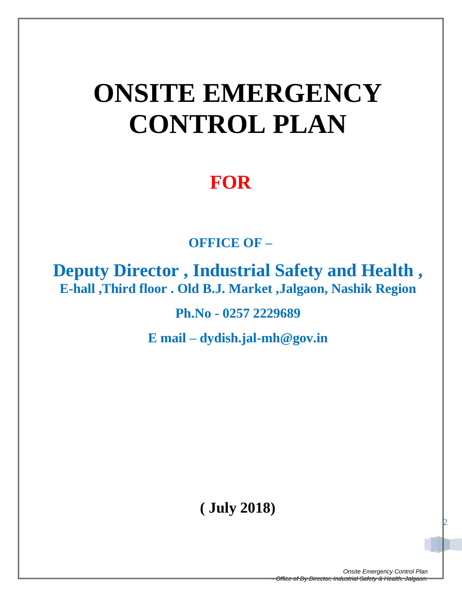# **ONSITE EMERGENCY CONTROL PLAN**

# **FOR**

 **OFFICE OF –**

**Deputy Director , Industrial Safety and Health , E-hall ,Third floor . Old B.J. Market ,Jalgaon, Nashik Region**

**Ph.No - 0257 2229689**

**E mail – dydish.jal-mh@gov.in**

**( July 2018)**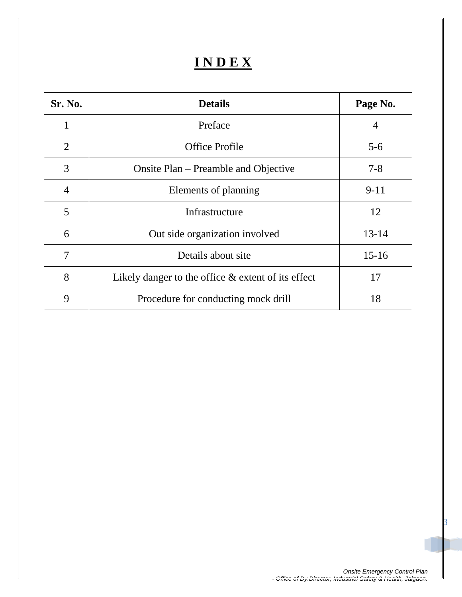# **I N D E X**

| Sr. No.        | <b>Details</b>                                        | Page No.  |
|----------------|-------------------------------------------------------|-----------|
| 1              | Preface                                               | 4         |
| $\overline{2}$ | <b>Office Profile</b>                                 | $5 - 6$   |
| 3              | Onsite Plan – Preamble and Objective                  | $7 - 8$   |
| $\overline{4}$ | Elements of planning                                  | $9-11$    |
| 5              | Infrastructure                                        | 12        |
| 6              | Out side organization involved                        | $13 - 14$ |
| 7              | Details about site                                    | $15-16$   |
| 8              | Likely danger to the office $\&$ extent of its effect | 17        |
| 9              | Procedure for conducting mock drill                   | 18        |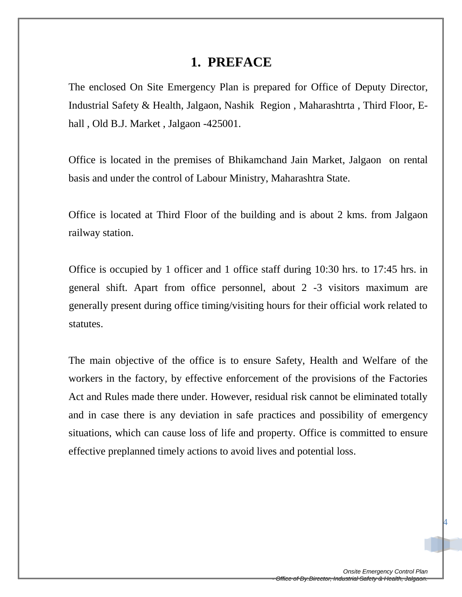### **1. PREFACE**

The enclosed On Site Emergency Plan is prepared for Office of Deputy Director, Industrial Safety & Health, Jalgaon, Nashik Region , Maharashtrta , Third Floor, Ehall, Old B.J. Market, Jalgaon -425001.

Office is located in the premises of Bhikamchand Jain Market, Jalgaon on rental basis and under the control of Labour Ministry, Maharashtra State.

Office is located at Third Floor of the building and is about 2 kms. from Jalgaon railway station.

Office is occupied by 1 officer and 1 office staff during 10:30 hrs. to 17:45 hrs. in general shift. Apart from office personnel, about 2 -3 visitors maximum are generally present during office timing/visiting hours for their official work related to statutes.

The main objective of the office is to ensure Safety, Health and Welfare of the workers in the factory, by effective enforcement of the provisions of the Factories Act and Rules made there under. However, residual risk cannot be eliminated totally and in case there is any deviation in safe practices and possibility of emergency situations, which can cause loss of life and property. Office is committed to ensure effective preplanned timely actions to avoid lives and potential loss.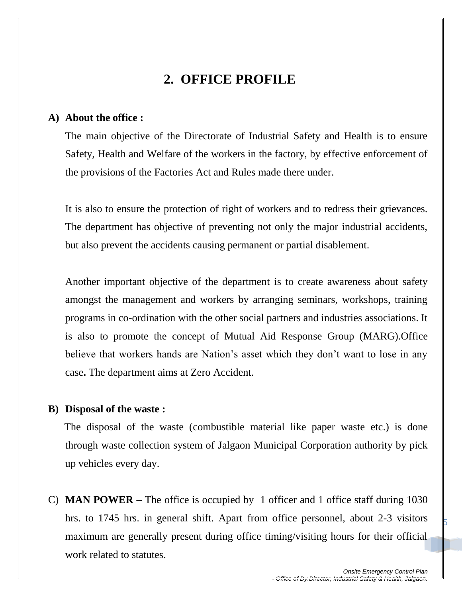# **2. OFFICE PROFILE**

#### **A) About the office :**

The main objective of the Directorate of Industrial Safety and Health is to ensure Safety, Health and Welfare of the workers in the factory, by effective enforcement of the provisions of the Factories Act and Rules made there under.

It is also to ensure the protection of right of workers and to redress their grievances. The department has objective of preventing not only the major industrial accidents, but also prevent the accidents causing permanent or partial disablement.

Another important objective of the department is to create awareness about safety amongst the management and workers by arranging seminars, workshops, training programs in co-ordination with the other social partners and industries associations. It is also to promote the concept of Mutual Aid Response Group (MARG).Office believe that workers hands are Nation's asset which they don't want to lose in any case**.** The department aims at Zero Accident.

#### **B) Disposal of the waste :**

The disposal of the waste (combustible material like paper waste etc.) is done through waste collection system of Jalgaon Municipal Corporation authority by pick up vehicles every day.

C) **MAN POWER –** The office is occupied by 1 officer and 1 office staff during 1030 hrs. to 1745 hrs. in general shift. Apart from office personnel, about 2-3 visitors maximum are generally present during office timing/visiting hours for their official work related to statutes.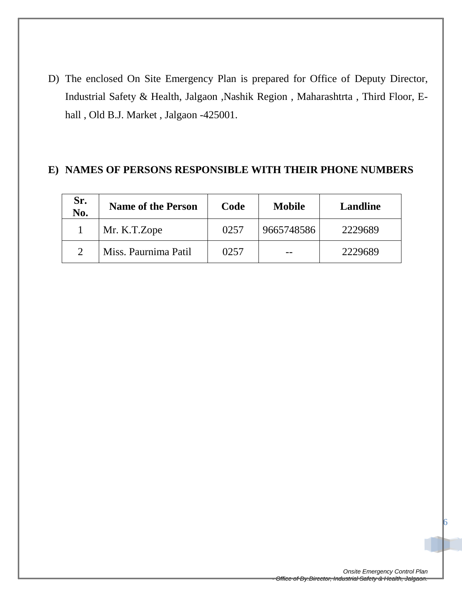D) The enclosed On Site Emergency Plan is prepared for Office of Deputy Director, Industrial Safety & Health, Jalgaon ,Nashik Region , Maharashtrta , Third Floor, Ehall , Old B.J. Market , Jalgaon -425001.

#### **E) NAMES OF PERSONS RESPONSIBLE WITH THEIR PHONE NUMBERS**

| Sr.<br>No. | <b>Name of the Person</b> | Code | <b>Mobile</b> | <b>Landline</b> |
|------------|---------------------------|------|---------------|-----------------|
|            | Mr. K.T.Zope              | 0257 | 9665748586    | 2229689         |
|            | Miss. Paurnima Patil      | 0257 |               | 2229689         |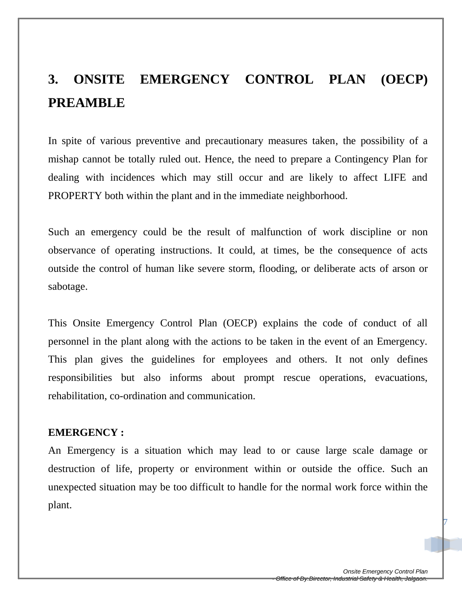# **3. ONSITE EMERGENCY CONTROL PLAN (OECP) PREAMBLE**

In spite of various preventive and precautionary measures taken, the possibility of a mishap cannot be totally ruled out. Hence, the need to prepare a Contingency Plan for dealing with incidences which may still occur and are likely to affect LIFE and PROPERTY both within the plant and in the immediate neighborhood.

Such an emergency could be the result of malfunction of work discipline or non observance of operating instructions. It could, at times, be the consequence of acts outside the control of human like severe storm, flooding, or deliberate acts of arson or sabotage.

This Onsite Emergency Control Plan (OECP) explains the code of conduct of all personnel in the plant along with the actions to be taken in the event of an Emergency. This plan gives the guidelines for employees and others. It not only defines responsibilities but also informs about prompt rescue operations, evacuations, rehabilitation, co-ordination and communication.

#### **EMERGENCY :**

An Emergency is a situation which may lead to or cause large scale damage or destruction of life, property or environment within or outside the office. Such an unexpected situation may be too difficult to handle for the normal work force within the plant.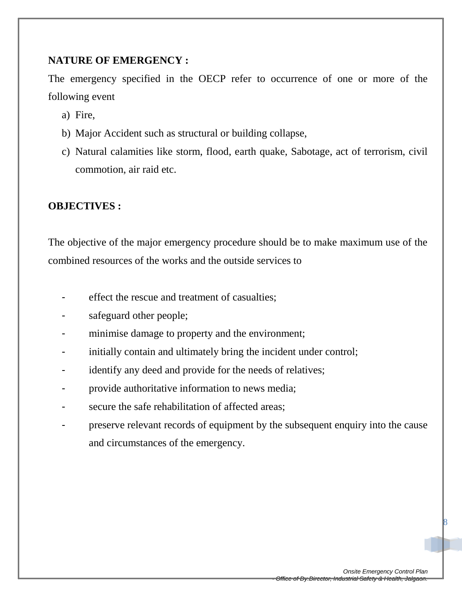#### **NATURE OF EMERGENCY :**

The emergency specified in the OECP refer to occurrence of one or more of the following event

- a) Fire,
- b) Major Accident such as structural or building collapse,
- c) Natural calamities like storm, flood, earth quake, Sabotage, act of terrorism, civil commotion, air raid etc.

#### **OBJECTIVES :**

The objective of the major emergency procedure should be to make maximum use of the combined resources of the works and the outside services to

- effect the rescue and treatment of casualties;
- safeguard other people;
- minimise damage to property and the environment;
- initially contain and ultimately bring the incident under control;
- identify any deed and provide for the needs of relatives;
- provide authoritative information to news media;
- secure the safe rehabilitation of affected areas;
- preserve relevant records of equipment by the subsequent enquiry into the cause and circumstances of the emergency.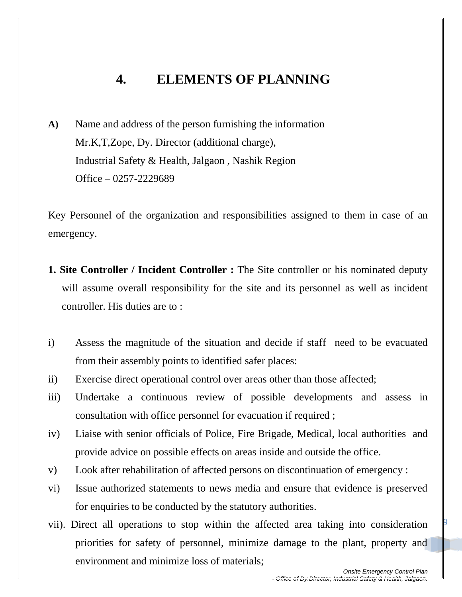# **4. ELEMENTS OF PLANNING**

**A)** Name and address of the person furnishing the information Mr.K,T,Zope, Dy. Director (additional charge), Industrial Safety & Health, Jalgaon , Nashik Region Office – 0257-2229689

Key Personnel of the organization and responsibilities assigned to them in case of an emergency.

- **1. Site Controller / Incident Controller :** The Site controller or his nominated deputy will assume overall responsibility for the site and its personnel as well as incident controller. His duties are to :
- i) Assess the magnitude of the situation and decide if staff need to be evacuated from their assembly points to identified safer places:
- ii) Exercise direct operational control over areas other than those affected;
- iii) Undertake a continuous review of possible developments and assess in consultation with office personnel for evacuation if required ;
- iv) Liaise with senior officials of Police, Fire Brigade, Medical, local authorities and provide advice on possible effects on areas inside and outside the office.
- v) Look after rehabilitation of affected persons on discontinuation of emergency :
- vi) Issue authorized statements to news media and ensure that evidence is preserved for enquiries to be conducted by the statutory authorities.
- vii). Direct all operations to stop within the affected area taking into consideration priorities for safety of personnel, minimize damage to the plant, property and environment and minimize loss of materials;

*Onsite Emergency Control Plan - Office of Dy.Director, Industrial Safety & Health, Jalgaon.*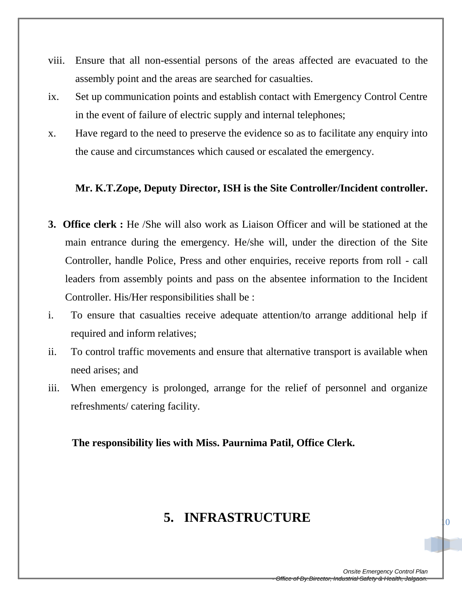- viii. Ensure that all non-essential persons of the areas affected are evacuated to the assembly point and the areas are searched for casualties.
- ix. Set up communication points and establish contact with Emergency Control Centre in the event of failure of electric supply and internal telephones;
- x. Have regard to the need to preserve the evidence so as to facilitate any enquiry into the cause and circumstances which caused or escalated the emergency.

#### **Mr. K.T.Zope, Deputy Director, ISH is the Site Controller/Incident controller.**

- **3. Office clerk :** He /She will also work as Liaison Officer and will be stationed at the main entrance during the emergency. He/she will, under the direction of the Site Controller, handle Police, Press and other enquiries, receive reports from roll - call leaders from assembly points and pass on the absentee information to the Incident Controller. His/Her responsibilities shall be :
- i. To ensure that casualties receive adequate attention/to arrange additional help if required and inform relatives;
- ii. To control traffic movements and ensure that alternative transport is available when need arises; and
- iii. When emergency is prolonged, arrange for the relief of personnel and organize refreshments/ catering facility.

#### **The responsibility lies with Miss. Paurnima Patil, Office Clerk.**

### **5. INFRASTRUCTURE**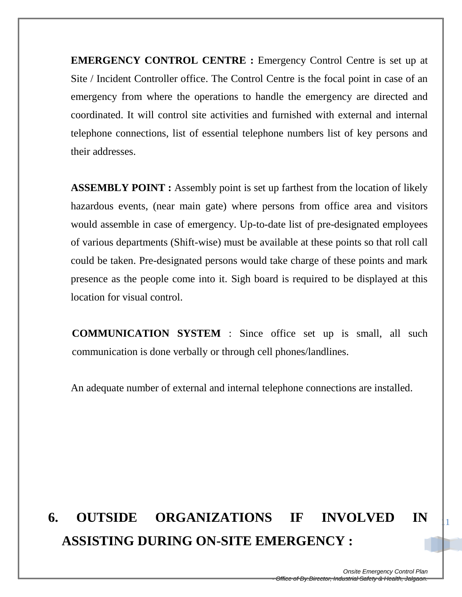**EMERGENCY CONTROL CENTRE :** Emergency Control Centre is set up at Site / Incident Controller office. The Control Centre is the focal point in case of an emergency from where the operations to handle the emergency are directed and coordinated. It will control site activities and furnished with external and internal telephone connections, list of essential telephone numbers list of key persons and their addresses.

**ASSEMBLY POINT :** Assembly point is set up farthest from the location of likely hazardous events, (near main gate) where persons from office area and visitors would assemble in case of emergency. Up-to-date list of pre-designated employees of various departments (Shift-wise) must be available at these points so that roll call could be taken. Pre-designated persons would take charge of these points and mark presence as the people come into it. Sigh board is required to be displayed at this location for visual control.

**COMMUNICATION SYSTEM** : Since office set up is small, all such communication is done verbally or through cell phones/landlines.

An adequate number of external and internal telephone connections are installed.

# **6. OUTSIDE ORGANIZATIONS IF INVOLVED IN ASSISTING DURING ON-SITE EMERGENCY :**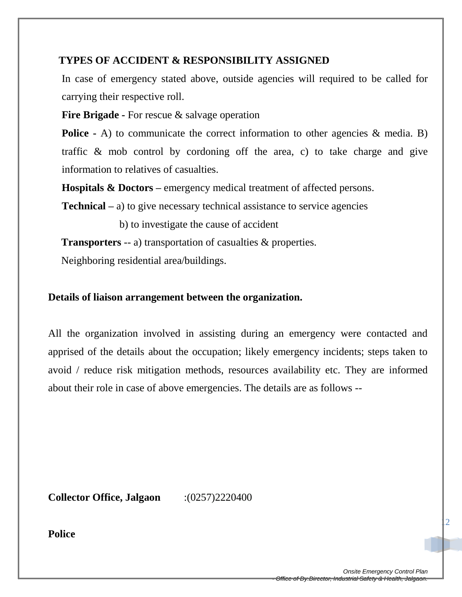#### **TYPES OF ACCIDENT & RESPONSIBILITY ASSIGNED**

In case of emergency stated above, outside agencies will required to be called for carrying their respective roll.

**Fire Brigade -** For rescue & salvage operation

**Police -** A) to communicate the correct information to other agencies & media. B) traffic & mob control by cordoning off the area, c) to take charge and give information to relatives of casualties.

**Hospitals & Doctors –** emergency medical treatment of affected persons.

**Technical –** a) to give necessary technical assistance to service agencies

b) to investigate the cause of accident

**Transporters** -- a) transportation of casualties & properties.

Neighboring residential area/buildings.

#### **Details of liaison arrangement between the organization.**

All the organization involved in assisting during an emergency were contacted and apprised of the details about the occupation; likely emergency incidents; steps taken to avoid / reduce risk mitigation methods, resources availability etc. They are informed about their role in case of above emergencies. The details are as follows --

**Collector Office, Jalgaon** :(0257)2220400

**Police**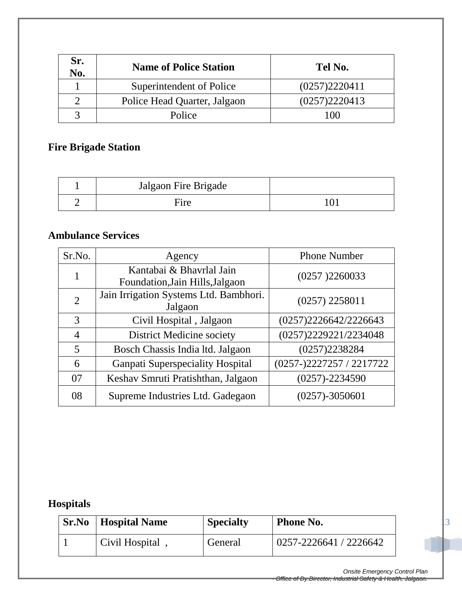| Sr.<br>No. | <b>Name of Police Station</b> | Tel No.       |
|------------|-------------------------------|---------------|
|            | Superintendent of Police      | (0257)2220411 |
|            | Police Head Quarter, Jalgaon  | (0257)2220413 |
|            | Police                        | 100           |

### **Fire Brigade Station**

| Jalgaon Fire Brigade |  |
|----------------------|--|
| ire                  |  |

#### **Ambulance Services**

| Sr.No.         | Agency                                                      | <b>Phone Number</b>         |
|----------------|-------------------------------------------------------------|-----------------------------|
| 1              | Kantabai & Bhavrlal Jain<br>Foundation, Jain Hills, Jalgaon | (0257)2260033               |
| $\overline{2}$ | Jain Irrigation Systems Ltd. Bambhori.<br>Jalgaon           | $(0257)$ 2258011            |
| 3              | Civil Hospital, Jalgaon                                     | (0257)2226642/2226643       |
| $\overline{4}$ | <b>District Medicine society</b>                            | (0257)2229221/2234048       |
| 5              | Bosch Chassis India ltd. Jalgaon                            | (0257)2238284               |
| 6              | <b>Ganpati Superspeciality Hospital</b>                     | $(0257 - 2227257 / 2217722$ |
| 07             | Keshav Smruti Pratishthan, Jalgaon                          | $(0257) - 2234590$          |
| 08             | Supreme Industries Ltd. Gadegaon                            | $(0257) - 3050601$          |

# **Hospitals**

| Sr.No | <b>Hospital Name</b> | <b>Specialty</b> | <b>Phone No.</b>       |
|-------|----------------------|------------------|------------------------|
|       | Civil Hospital       | General          | 0257-2226641 / 2226642 |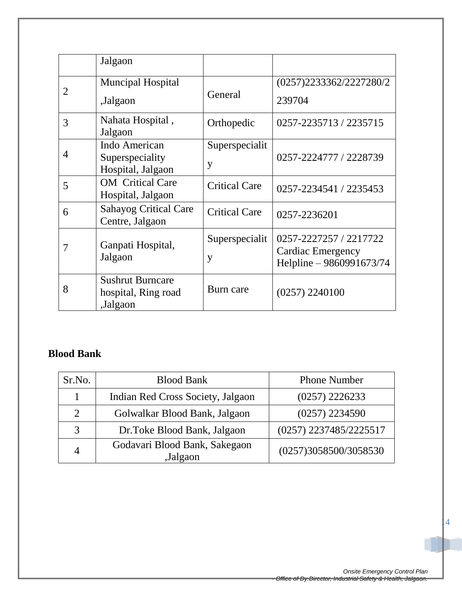|                | Jalgaon                                                    |                      |                                                                         |
|----------------|------------------------------------------------------------|----------------------|-------------------------------------------------------------------------|
| 2              | <b>Muncipal Hospital</b><br>,Jalgaon                       | General              | (0257)2233362/2227280/2<br>239704                                       |
| 3              | Nahata Hospital,<br>Jalgaon                                | Orthopedic           | 0257-2235713 / 2235715                                                  |
| $\overline{4}$ | Indo American<br>Superspeciality<br>Hospital, Jalgaon      | Superspecialit<br>y  | 0257-2224777 / 2228739                                                  |
| 5              | <b>OM</b> Critical Care<br>Hospital, Jalgaon               | <b>Critical Care</b> | 0257-2234541 / 2235453                                                  |
| 6              | <b>Sahayog Critical Care</b><br>Centre, Jalgaon            | <b>Critical Care</b> | 0257-2236201                                                            |
| 7              | Ganpati Hospital,<br>Jalgaon                               | Superspecialit<br>y  | 0257-2227257 / 2217722<br>Cardiac Emergency<br>Helpline - 9860991673/74 |
| 8              | <b>Sushrut Burncare</b><br>hospital, Ring road<br>,Jalgaon | Burn care            | (0257) 2240100                                                          |

#### **Blood Bank**

| Sr.No.         | <b>Blood Bank</b>                         | <b>Phone Number</b>    |
|----------------|-------------------------------------------|------------------------|
|                | Indian Red Cross Society, Jalgaon         | $(0257)$ 2226233       |
| $\overline{2}$ | Golwalkar Blood Bank, Jalgaon             | $(0257)$ 2234590       |
| 3              | Dr.Toke Blood Bank, Jalgaon               | (0257) 2237485/2225517 |
| 4              | Godavari Blood Bank, Sakegaon<br>,Jalgaon | (0257)3058500/3058530  |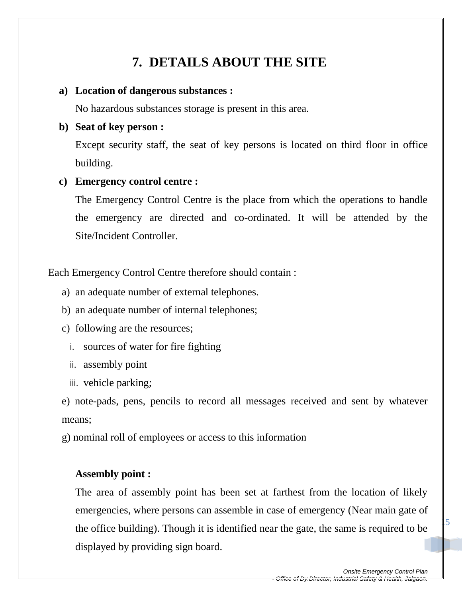# **7. DETAILS ABOUT THE SITE**

#### **a) Location of dangerous substances :**

No hazardous substances storage is present in this area.

#### **b) Seat of key person :**

Except security staff, the seat of key persons is located on third floor in office building.

#### **c) Emergency control centre :**

The Emergency Control Centre is the place from which the operations to handle the emergency are directed and co-ordinated. It will be attended by the Site/Incident Controller.

Each Emergency Control Centre therefore should contain :

- a) an adequate number of external telephones.
- b) an adequate number of internal telephones;
- c) following are the resources;
	- i. sources of water for fire fighting
	- ii. assembly point
	- iii. vehicle parking;

e) note-pads, pens, pencils to record all messages received and sent by whatever means;

g) nominal roll of employees or access to this information

#### **Assembly point :**

The area of assembly point has been set at farthest from the location of likely emergencies, where persons can assemble in case of emergency (Near main gate of the office building). Though it is identified near the gate, the same is required to be displayed by providing sign board.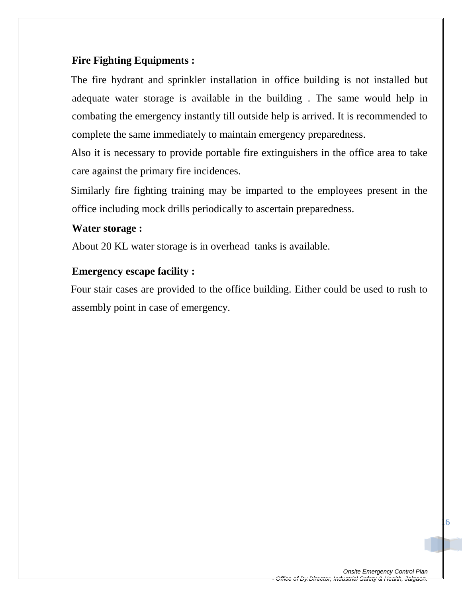#### **Fire Fighting Equipments :**

The fire hydrant and sprinkler installation in office building is not installed but adequate water storage is available in the building . The same would help in combating the emergency instantly till outside help is arrived. It is recommended to complete the same immediately to maintain emergency preparedness.

Also it is necessary to provide portable fire extinguishers in the office area to take care against the primary fire incidences.

Similarly fire fighting training may be imparted to the employees present in the office including mock drills periodically to ascertain preparedness.

#### **Water storage :**

About 20 KL water storage is in overhead tanks is available.

#### **Emergency escape facility :**

Four stair cases are provided to the office building. Either could be used to rush to assembly point in case of emergency.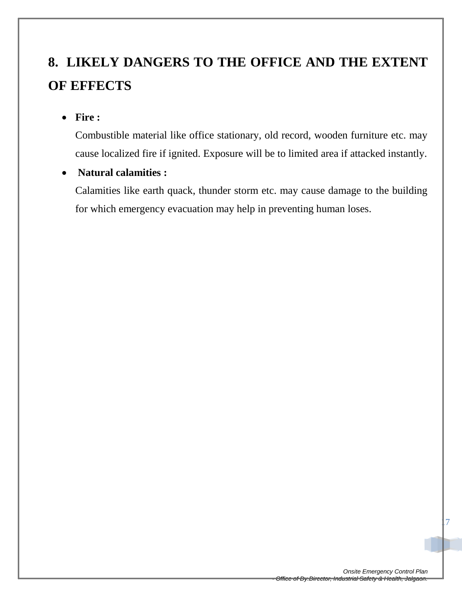# **8. LIKELY DANGERS TO THE OFFICE AND THE EXTENT OF EFFECTS**

**Fire :**

Combustible material like office stationary, old record, wooden furniture etc. may cause localized fire if ignited. Exposure will be to limited area if attacked instantly.

**Natural calamities :**

Calamities like earth quack, thunder storm etc. may cause damage to the building for which emergency evacuation may help in preventing human loses.